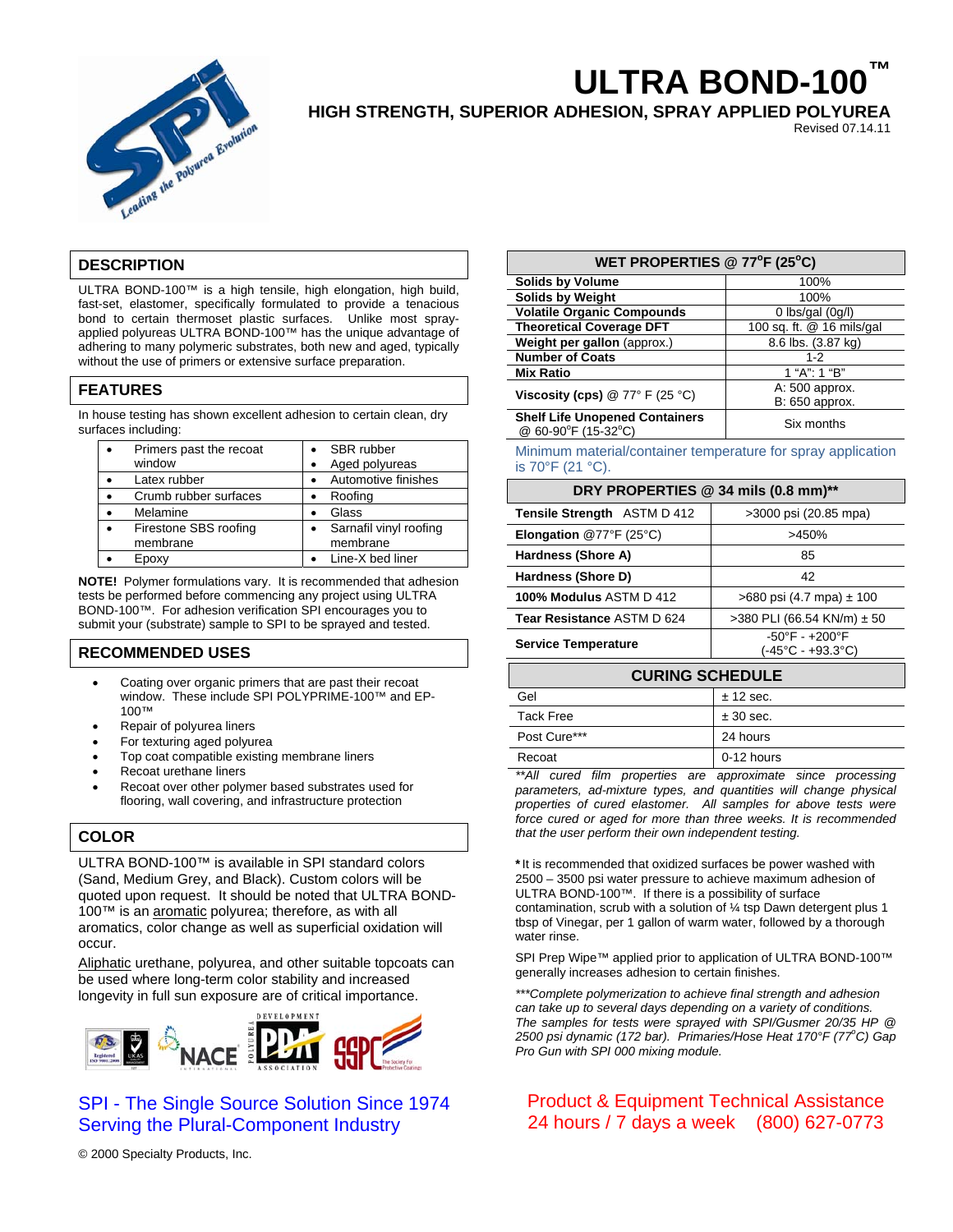

# **ULTRA BOND-100™**

**HIGH STRENGTH, SUPERIOR ADHESION, SPRAY APPLIED POLYUREA** 

Revised 07.14.11

# **DESCRIPTION**

ULTRA BOND-100™ is a high tensile, high elongation, high build, fast-set, elastomer, specifically formulated to provide a tenacious bond to certain thermoset plastic surfaces. Unlike most sprayapplied polyureas ULTRA BOND-100™ has the unique advantage of adhering to many polymeric substrates, both new and aged, typically without the use of primers or extensive surface preparation.

## **FEATURES**

In house testing has shown excellent adhesion to certain clean, dry surfaces including:

| Primers past the recoat           |           | SBR rubber                         |
|-----------------------------------|-----------|------------------------------------|
| window                            |           | Aged polyureas                     |
| Latex rubber                      |           | Automotive finishes                |
| Crumb rubber surfaces             |           | Roofing                            |
| Melamine                          | $\bullet$ | Glass                              |
| Firestone SBS roofing<br>membrane | $\bullet$ | Sarnafil vinyl roofing<br>membrane |
| Epoxy                             |           | Line-X bed liner                   |
|                                   |           |                                    |

**NOTE!** Polymer formulations vary. It is recommended that adhesion tests be performed before commencing any project using ULTRA BOND-100™. For adhesion verification SPI encourages you to submit your (substrate) sample to SPI to be sprayed and tested.

## **RECOMMENDED USES**

- Coating over organic primers that are past their recoat window. These include SPI POLYPRIME-100™ and EP-100™
- Repair of polyurea liners
- For texturing aged polyurea
- Top coat compatible existing membrane liners
- Recoat urethane liners
- Recoat over other polymer based substrates used for flooring, wall covering, and infrastructure protection

## **COLOR**

ULTRA BOND-100™ is available in SPI standard colors (Sand, Medium Grey, and Black). Custom colors will be quoted upon request. It should be noted that ULTRA BOND-100™ is an aromatic polyurea; therefore, as with all aromatics, color change as well as superficial oxidation will occur.

Aliphatic urethane, polyurea, and other suitable topcoats can be used where long-term color stability and increased longevity in full sun exposure are of critical importance.



# SPI - The Single Source Solution Since 1974 Serving the Plural-Component Industry

© 2000 Specialty Products, Inc.

## WET PROPERTIES @ 77<sup>°</sup>F (25<sup>°</sup>C)

| <b>Solids by Volume</b>                                      | 100%                             |
|--------------------------------------------------------------|----------------------------------|
| <b>Solids by Weight</b>                                      | 100%                             |
| <b>Volatile Organic Compounds</b>                            | $0$ lbs/gal $(0q/l)$             |
| <b>Theoretical Coverage DFT</b>                              | 100 sq. ft. @ 16 mils/gal        |
| Weight per gallon (approx.)                                  | 8.6 lbs. (3.87 kg)               |
| <b>Number of Coats</b>                                       | $1 - 2$                          |
| <b>Mix Ratio</b>                                             | 1 "A": 1 "B"                     |
| Viscosity (cps) $@ 77° F (25 °C)$                            | A: 500 approx.<br>B: 650 approx. |
| <b>Shelf Life Unopened Containers</b><br>@ 60-90°F (15-32°C) | Six months                       |

Minimum material/container temperature for spray application is 70°F (21 °C).

#### **DRY PROPERTIES @ 34 mils (0.8 mm)\*\***

| Tensile Strength ASTM D 412    | >3000 psi (20.85 mpa)                                                   |  |  |
|--------------------------------|-------------------------------------------------------------------------|--|--|
| <b>Elongation</b> @77°F (25°C) | >450%                                                                   |  |  |
| Hardness (Shore A)             | 85                                                                      |  |  |
| Hardness (Shore D)             | 42                                                                      |  |  |
| 100% Modulus ASTM D 412        | $>680$ psi (4.7 mpa) $\pm$ 100                                          |  |  |
| Tear Resistance ASTM D 624     | >380 PLI (66.54 KN/m) $\pm$ 50                                          |  |  |
| <b>Service Temperature</b>     | $-50^{\circ}$ F - $+200^{\circ}$ F<br>$(-45^{\circ}C - +93.3^{\circ}C)$ |  |  |
|                                |                                                                         |  |  |

# **CURING SCHEDULE**  Gel  $\pm$  12 sec. Tack Free  $\qquad \qquad \qquad \pm 30$  sec. Post Cure\*\*\* 24 hours Recoat 0-12 hours

*\*\*All cured film properties are approximate since processing parameters, ad-mixture types, and quantities will change physical properties of cured elastomer. All samples for above tests were force cured or aged for more than three weeks. It is recommended that the user perform their own independent testing.* 

\*It is recommended that oxidized surfaces be power washed with 2500 – 3500 psi water pressure to achieve maximum adhesion of ULTRA BOND-100™. If there is a possibility of surface contamination, scrub with a solution of ¼ tsp Dawn detergent plus 1 tbsp of Vinegar, per 1 gallon of warm water, followed by a thorough water rinse.

SPI Prep Wipe™ applied prior to application of ULTRA BOND-100™ generally increases adhesion to certain finishes.

*\*\*\*Complete polymerization to achieve final strength and adhesion can take up to several days depending on a variety of conditions. The samples for tests were sprayed with SPI/Gusmer 20/35 HP @*  2500 psi dynamic (172 bar). Primaries/Hose Heat 170°F (77°C) Gap *Pro Gun with SPI 000 mixing module.* 

# Product & Equipment Technical Assistance 24 hours / 7 days a week (800) 627-0773